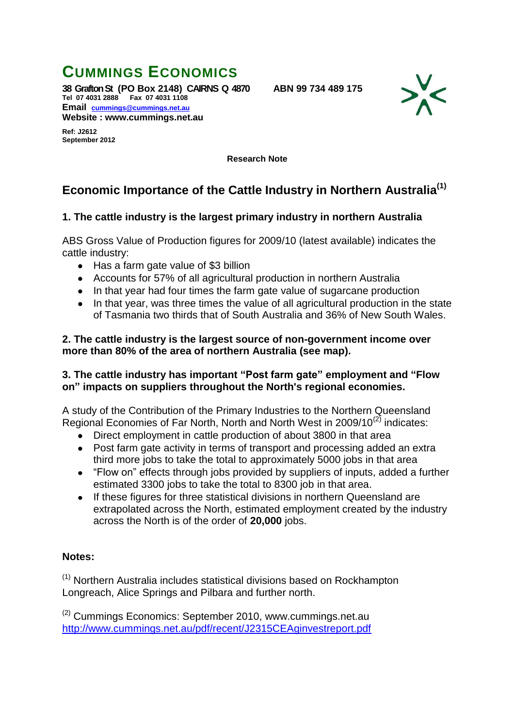# **CUMMINGS ECONOMICS**

**38 Grafton St (PO Box 2148) CAIRNS Q 4870 ABN 99 734 489 175 Tel 07 4031 2888 Fax 07 4031 1108 Email [cummings@cummings.net.au](mailto:cummings@cummings.net.au) Website : www.cummings.net.au**



**Ref: J2612 September 2012**

**Research Note**

## **Economic Importance of the Cattle Industry in Northern Australia(1)**

### **1. The cattle industry is the largest primary industry in northern Australia**

ABS Gross Value of Production figures for 2009/10 (latest available) indicates the cattle industry:

- Has a farm gate value of \$3 billion
- Accounts for 57% of all agricultural production in northern Australia
- In that year had four times the farm gate value of sugarcane production
- In that year, was three times the value of all agricultural production in the state of Tasmania two thirds that of South Australia and 36% of New South Wales.

#### **2. The cattle industry is the largest source of non-government income over more than 80% of the area of northern Australia (see map).**

### **3. The cattle industry has important "Post farm gate" employment and "Flow on" impacts on suppliers throughout the North's regional economies.**

A study of the Contribution of the Primary Industries to the Northern Queensland Regional Economies of Far North, North and North West in 2009/10<sup>(2)</sup> indicates:

- Direct employment in cattle production of about 3800 in that area
- Post farm gate activity in terms of transport and processing added an extra third more jobs to take the total to approximately 5000 jobs in that area
- "Flow on" effects through jobs provided by suppliers of inputs, added a further estimated 3300 jobs to take the total to 8300 job in that area.
- If these figures for three statistical divisions in northern Queensland are  $\bullet$ extrapolated across the North, estimated employment created by the industry across the North is of the order of **20,000** jobs.

#### **Notes:**

(1) Northern Australia includes statistical divisions based on Rockhampton Longreach, Alice Springs and Pilbara and further north.

(2) Cummings Economics: September 2010, www.cummings.net.au <http://www.cummings.net.au/pdf/recent/J2315CEAginvestreport.pdf>